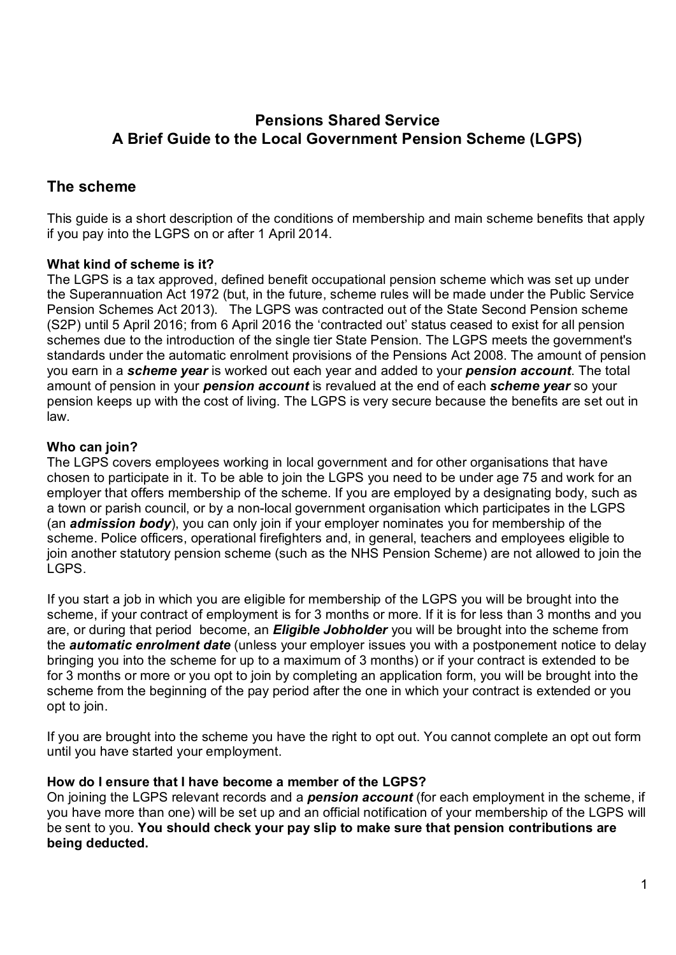# Pensions Shared Service A Brief Guide to the Local Government Pension Scheme (LGPS)

# The scheme

This guide is a short description of the conditions of membership and main scheme benefits that apply if you pay into the LGPS on or after 1 April 2014.

## What kind of scheme is it?

The LGPS is a tax approved, defined benefit occupational pension scheme which was set up under the Superannuation Act 1972 (but, in the future, scheme rules will be made under the Public Service Pension Schemes Act 2013). The LGPS was contracted out of the State Second Pension scheme (S2P) until 5 April 2016; from 6 April 2016 the 'contracted out' status ceased to exist for all pension schemes due to the introduction of the single tier State Pension. The LGPS meets the government's standards under the automatic enrolment provisions of the Pensions Act 2008. The amount of pension you earn in a scheme year is worked out each year and added to your pension account. The total amount of pension in your **pension account** is revalued at the end of each **scheme year** so your pension keeps up with the cost of living. The LGPS is very secure because the benefits are set out in law.

## Who can join?

The LGPS covers employees working in local government and for other organisations that have chosen to participate in it. To be able to join the LGPS you need to be under age 75 and work for an employer that offers membership of the scheme. If you are employed by a designating body, such as a town or parish council, or by a non-local government organisation which participates in the LGPS (an **admission body**), you can only join if your employer nominates you for membership of the scheme. Police officers, operational firefighters and, in general, teachers and employees eligible to join another statutory pension scheme (such as the NHS Pension Scheme) are not allowed to join the LGPS.

If you start a job in which you are eligible for membership of the LGPS you will be brought into the scheme, if your contract of employment is for 3 months or more. If it is for less than 3 months and you are, or during that period become, an **Eligible Jobholder** you will be brought into the scheme from the **automatic enrolment date** (unless your employer issues you with a postponement notice to delay bringing you into the scheme for up to a maximum of 3 months) or if your contract is extended to be for 3 months or more or you opt to join by completing an application form, you will be brought into the scheme from the beginning of the pay period after the one in which your contract is extended or you opt to join.

If you are brought into the scheme you have the right to opt out. You cannot complete an opt out form until you have started your employment.

#### How do I ensure that I have become a member of the LGPS?

On joining the LGPS relevant records and a **pension account** (for each employment in the scheme, if you have more than one) will be set up and an official notification of your membership of the LGPS will be sent to you. You should check your pay slip to make sure that pension contributions are being deducted.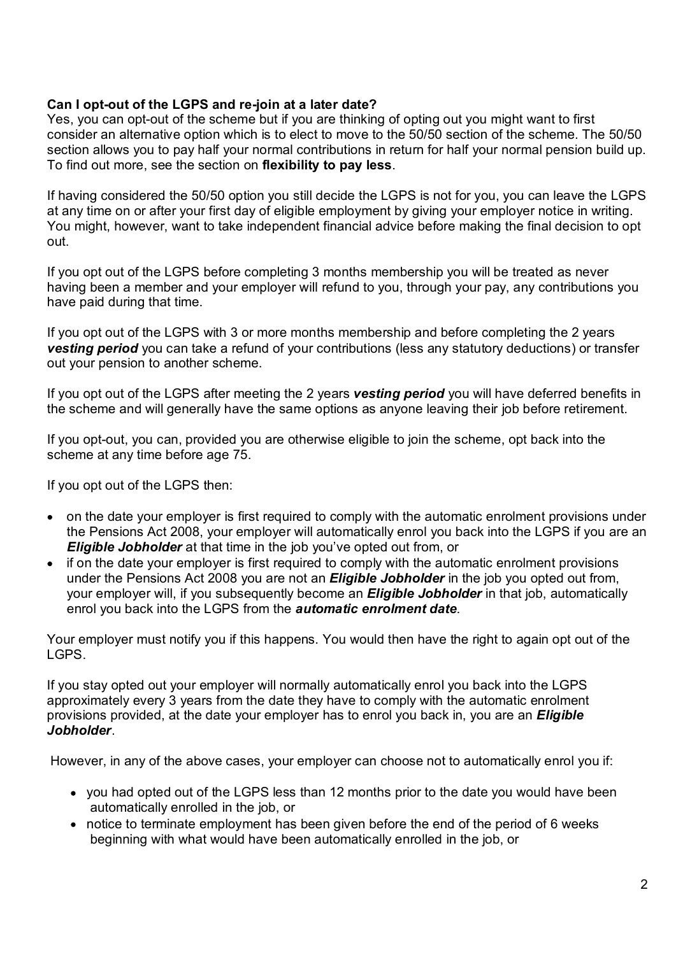#### Can I opt-out of the LGPS and re-join at a later date?

Yes, you can opt-out of the scheme but if you are thinking of opting out you might want to first consider an alternative option which is to elect to move to the 50/50 section of the scheme. The 50/50 section allows you to pay half your normal contributions in return for half your normal pension build up. To find out more, see the section on flexibility to pay less.

If having considered the 50/50 option you still decide the LGPS is not for you, you can leave the LGPS at any time on or after your first day of eligible employment by giving your employer notice in writing. You might, however, want to take independent financial advice before making the final decision to opt out.

If you opt out of the LGPS before completing 3 months membership you will be treated as never having been a member and your employer will refund to you, through your pay, any contributions you have paid during that time.

If you opt out of the LGPS with 3 or more months membership and before completing the 2 years **vesting period** you can take a refund of your contributions (less any statutory deductions) or transfer out your pension to another scheme.

If you opt out of the LGPS after meeting the 2 years **vesting period** you will have deferred benefits in the scheme and will generally have the same options as anyone leaving their job before retirement.

If you opt-out, you can, provided you are otherwise eligible to join the scheme, opt back into the scheme at any time before age 75.

If you opt out of the LGPS then:

- on the date your employer is first required to comply with the automatic enrolment provisions under the Pensions Act 2008, your employer will automatically enrol you back into the LGPS if you are an **Eligible Jobholder** at that time in the job you've opted out from, or
- if on the date your employer is first required to comply with the automatic enrolment provisions under the Pensions Act 2008 you are not an **Eligible Jobholder** in the job you opted out from, your employer will, if you subsequently become an **Eligible Jobholder** in that job, automatically If you opt out of the LGPS with 3 or more months membership and before completing the 2 years<br>vesting period you can take a refund of your contributions (less any statutory deductions) or transfer<br>out you opt out of the LG

LGPS.

If you stay opted out your employer will normally automatically enrol you back into the LGPS approximately every 3 years from the date they have to comply with the automatic enrolment provisions provided, at the date your employer has to enrol you back in, you are an *Eligible* Jobholder.<br>However, in any of the above cases, your employer can choose not to automatically enrol you if:

- vou had opted out of the LGPS less than 12 months prior to the date you would have been automatically enrolled in the job, or
- notice to terminate employment has been given before the end of the period of 6 weeks beginning with what would have been automatically enrolled in the job, or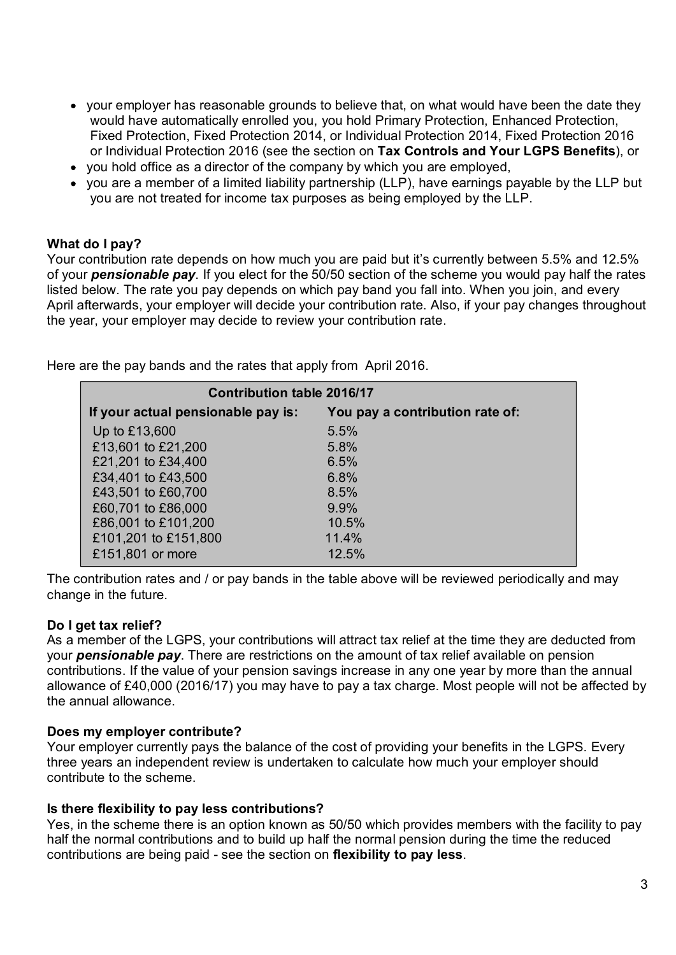- your employer has reasonable grounds to believe that, on what would have been the date they would have automatically enrolled you, you hold Primary Protection, Enhanced Protection, Fixed Protection, Fixed Protection 2014, or Individual Protection 2014, Fixed Protection 2016 or Individual Protection 2016 (see the section on Tax Controls and Your LGPS Benefits), or
- you hold office as a director of the company by which you are employed,
- you are a member of a limited liability partnership (LLP), have earnings payable by the LLP but you are not treated for income tax purposes as being employed by the LLP.

#### What do I pay?

Your contribution rate depends on how much you are paid but it's currently between 5.5% and 12.5% of your employer has reasonable grounds to believe that, on what would have been the date they<br>would have automatically enrolled you, you hold Primary Protection, Enhanced Protection,<br>Fixed Protection, Fixed Protection 20 listed below. The rate you pay depends on which pay band you fall into. When you join, and every April afterwards, your employer will decide your contribution rate. Also, if your pay changes throughout the year, your employer may decide to review your contribution rate.

Contribution table 2016/17 If your actual pensionable pay is: You pay a contribution rate of: Up to  $£13,600$  5.5% £13,601 to £21,200 5.8% £21,201 to £34,400 6.5% £34,401 to £43,500 6.8%

Here are the pay bands and the rates that apply from April 2016.

£43,501 to £60,700 8.5% £60,701 to £86,000 9.9% £86,001 to £101,200 10.5% £101,201 to £151,800 11.4% £151,801 or more 12.5%

The contribution rates and / or pay bands in the table above will be reviewed periodically and may change in the future.

#### Do I get tax relief?

As a member of the LGPS, your contributions will attract tax relief at the time they are deducted from your **pensionable pay**. There are restrictions on the amount of tax relief available on pension contributions. If the value of your pension savings increase in any one year by more than the annual allowance of £40,000 (2016/17) you may have to pay a tax charge. Most people will not be affected by the annual allowance.

#### Does my employer contribute?

Your employer currently pays the balance of the cost of providing your benefits in the LGPS. Every three years an independent review is undertaken to calculate how much your employer should contribute to the scheme.

#### Is there flexibility to pay less contributions?

Yes, in the scheme there is an option known as 50/50 which provides members with the facility to pay half the normal contributions and to build up half the normal pension during the time the reduced contributions are being paid - see the section on flexibility to pay less.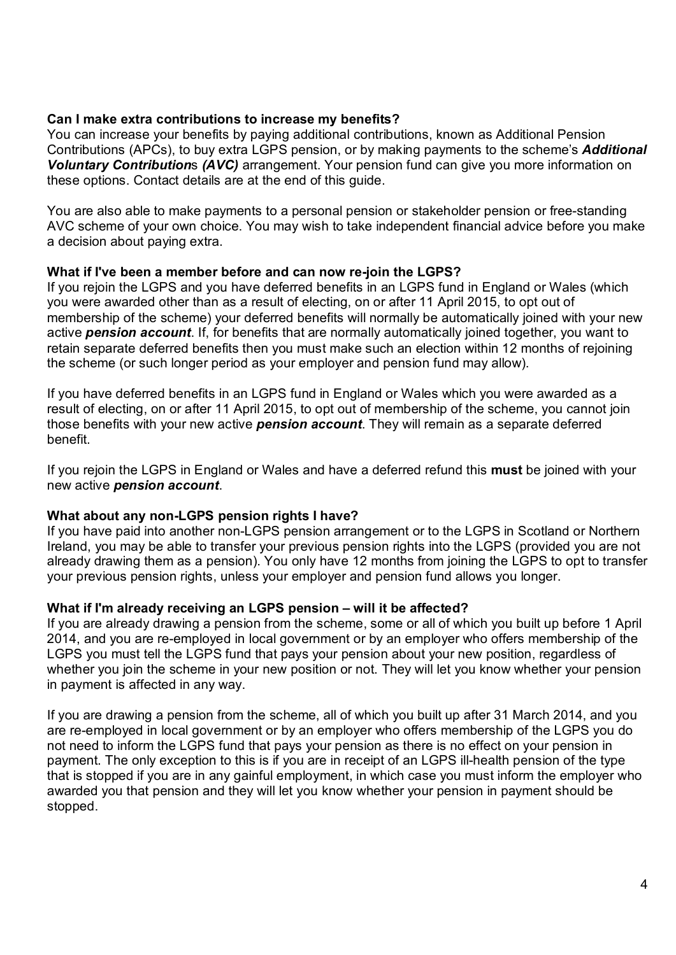#### Can I make extra contributions to increase my benefits?

You can increase your benefits by paying additional contributions, known as Additional Pension Contributions (APCs), to buy extra LGPS pension, or by making payments to the scheme's **Additional** Voluntary Contributions (AVC) arrangement. Your pension fund can give you more information on these options. Contact details are at the end of this guide.

You are also able to make payments to a personal pension or stakeholder pension or free-standing AVC scheme of your own choice. You may wish to take independent financial advice before you make a decision about paying extra.

#### What if I've been a member before and can now re-join the LGPS?

If you rejoin the LGPS and you have deferred benefits in an LGPS fund in England or Wales (which you were awarded other than as a result of electing, on or after 11 April 2015, to opt out of membership of the scheme) your deferred benefits will normally be automatically joined with your new active **pension account**. If, for benefits that are normally automatically joined together, you want to retain separate deferred benefits then you must make such an election within 12 months of rejoining the scheme (or such longer period as your employer and pension fund may allow). If you rejoin the LGPS and you have deferred benefits in an LGPS fund in England or Wales (which<br>you were awarded other than as a result of electing, on or after 11 April 2015, to opti out of<br>membership of the scheme) your

If you have deferred benefits in an LGPS fund in England or Wales which you were awarded as a result of electing, on or after 11 April 2015, to opt out of membership of the scheme, you cannot join those benefits with your new active **pension account**. They will remain as a separate deferred benefit.

If you rejoin the LGPS in England or Wales and have a deferred refund this **must** be joined with your new active pension account.

#### What about any non-LGPS pension rights I have?

If you have paid into another non-LGPS pension arrangement or to the LGPS in Scotland or Northern Ireland, you may be able to transfer your previous pension rights into the LGPS (provided you are not already drawing them as a pension). You only have 12 months from joining the LGPS to opt to transfer

#### What if I'm already receiving an LGPS pension – will it be affected?

If you are already drawing a pension from the scheme, some or all of which you built up before 1 April 2014, and you are re-employed in local government or by an employer who offers membership of the LGPS you must tell the LGPS fund that pays your pension about your new position, regardless of whether you join the scheme in your new position or not. They will let you know whether your pension in payment is affected in any way.

If you are drawing a pension from the scheme, all of which you built up after 31 March 2014, and you are re-employed in local government or by an employer who offers membership of the LGPS you do not need to inform the LGPS fund that pays your pension as there is no effect on your pension in payment. The only exception to this is if you are in receipt of an LGPS ill-health pension of the type that is stopped if you are in any gainful employment, in which case you must inform the employer who awarded you that pension and they will let you know whether your pension in payment should be stopped.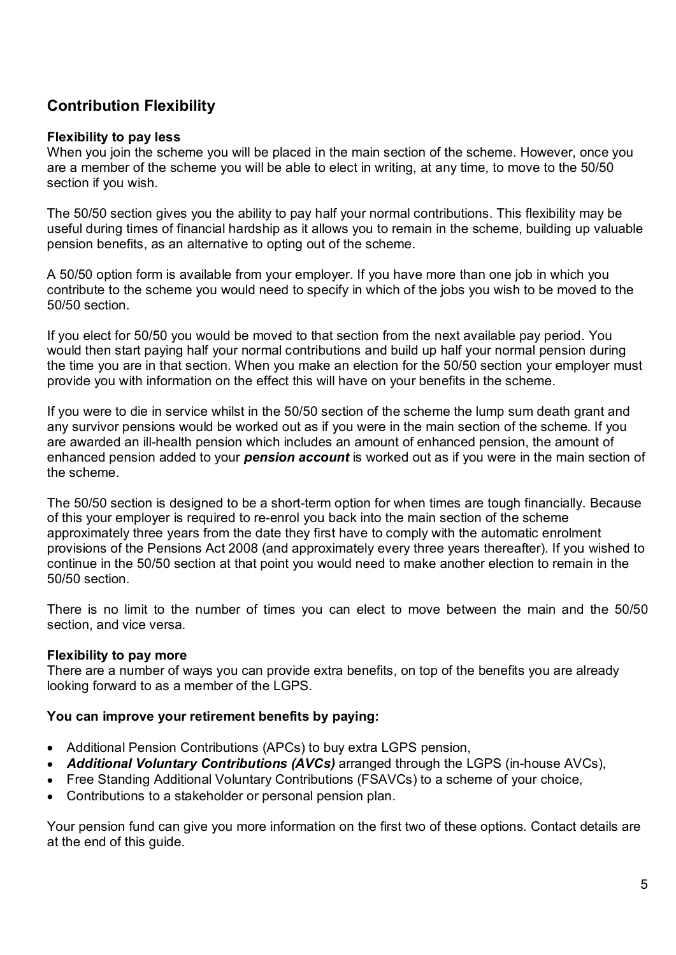# Contribution Flexibility

## Flexibility to pay less

When you join the scheme you will be placed in the main section of the scheme. However, once you are a member of the scheme you will be able to elect in writing, at any time, to move to the 50/50 section if you wish.

The 50/50 section gives you the ability to pay half your normal contributions. This flexibility may be useful during times of financial hardship as it allows you to remain in the scheme, building up valuable pension benefits, as an alternative to opting out of the scheme.

A 50/50 option form is available from your employer. If you have more than one job in which you contribute to the scheme you would need to specify in which of the jobs you wish to be moved to the 50/50 section.

If you elect for 50/50 you would be moved to that section from the next available pay period. You would then start paying half your normal contributions and build up half your normal pension during the time you are in that section. When you make an election for the 50/50 section your employer must provide you with information on the effect this will have on your benefits in the scheme.

If you were to die in service whilst in the 50/50 section of the scheme the lump sum death grant and any survivor pensions would be worked out as if you were in the main section of the scheme. If you are awarded an ill-health pension which includes an amount of enhanced pension, the amount of enhanced pension added to your **pension account** is worked out as if you were in the main section of the scheme.

The 50/50 section is designed to be a short-term option for when times are tough financially. Because of this your employer is required to re-enrol you back into the main section of the scheme approximately three years from the date they first have to comply with the automatic enrolment provisions of the Pensions Act 2008 (and approximately every three years thereafter). If you wished to continue in the 50/50 section at that point you would need to make another election to remain in the 50/50 section.

There is no limit to the number of times you can elect to move between the main and the 50/50 section, and vice versa.

# Flexibility to pay more

There are a number of ways you can provide extra benefits, on top of the benefits you are already looking forward to as a member of the LGPS.

# You can improve your retirement benefits by paying:

- Additional Pension Contributions (APCs) to buy extra LGPS pension,
- Additional Voluntary Contributions (AVCs) arranged through the LGPS (in-house AVCs).
- Free Standing Additional Voluntary Contributions (FSAVCs) to a scheme of your choice,
- Contributions to a stakeholder or personal pension plan.

Your pension fund can give you more information on the first two of these options. Contact details are at the end of this guide.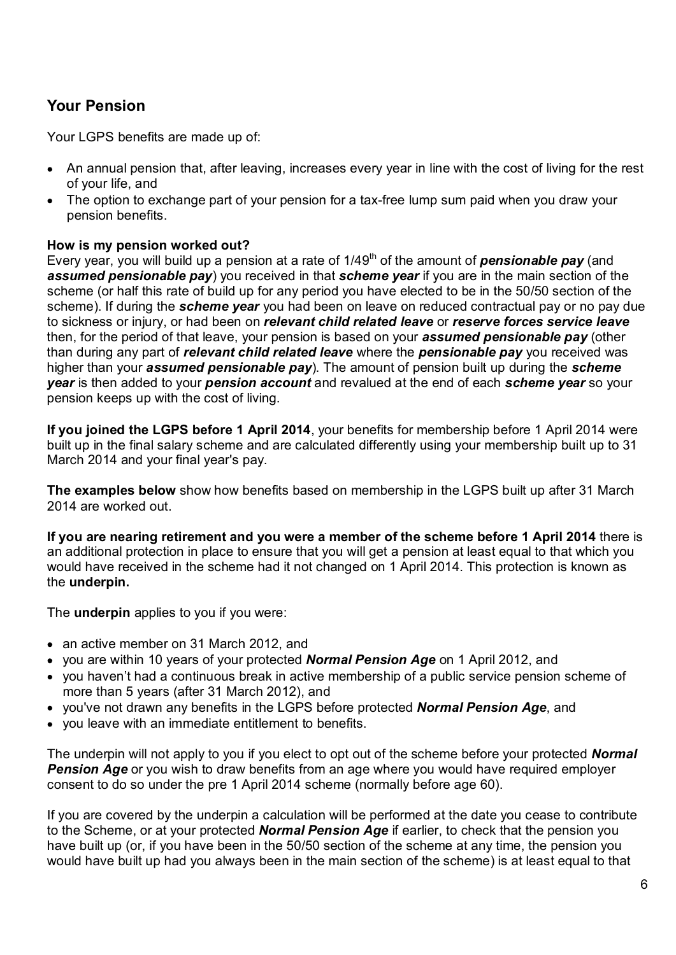# Your Pension

Your LGPS benefits are made up of:

- An annual pension that, after leaving, increases every year in line with the cost of living for the rest of your life, and
- The option to exchange part of your pension for a tax-free lump sum paid when you draw your pension benefits.

#### How is my pension worked out?

Every year, you will build up a pension at a rate of  $1/49<sup>th</sup>$  of the amount of **pensionable pay** (and assumed pensionable pay) you received in that scheme year if you are in the main section of the scheme (or half this rate of build up for any period you have elected to be in the 50/50 section of the scheme). If during the **scheme year** you had been on leave on reduced contractual pay or no pay due to sickness or injury, or had been on *relevant child related leave* or *reserve forces service leave* then, for the period of that leave, your pension is based on your **assumed pensionable pay** (other than during any part of relevant child related leave where the pensionable pay you received was higher than your **assumed pensionable pay**). The amount of pension built up during the **scheme** year is then added to your pension account and revalued at the end of each scheme year so your pension keeps up with the cost of living.

If you joined the LGPS before 1 April 2014, your benefits for membership before 1 April 2014 were built up in the final salary scheme and are calculated differently using your membership built up to 31 March 2014 and your final year's pay.

The examples below show how benefits based on membership in the LGPS built up after 31 March 2014 are worked out.

If you are nearing retirement and you were a member of the scheme before 1 April 2014 there is an additional protection in place to ensure that you will get a pension at least equal to that which you would have received in the scheme had it not changed on 1 April 2014. This protection is known as the underpin.

The **underpin** applies to you if you were:

- an active member on 31 March 2012, and
- you are within 10 years of your protected **Normal Pension Age** on 1 April 2012, and
- you haven't had a continuous break in active membership of a public service pension scheme of more than 5 years (after 31 March 2012), and
- you've not drawn any benefits in the LGPS before protected **Normal Pension Age**, and
- vou leave with an immediate entitlement to benefits.

The underpin will not apply to you if you elect to opt out of the scheme before your protected **Normal Pension Age** or you wish to draw benefits from an age where you would have required employer consent to do so under the pre 1 April 2014 scheme (normally before age 60).

If you are covered by the underpin a calculation will be performed at the date you cease to contribute to the Scheme, or at your protected **Normal Pension Age** if earlier, to check that the pension you have built up (or, if you have been in the 50/50 section of the scheme at any time, the pension you would have built up had you always been in the main section of the scheme) is at least equal to that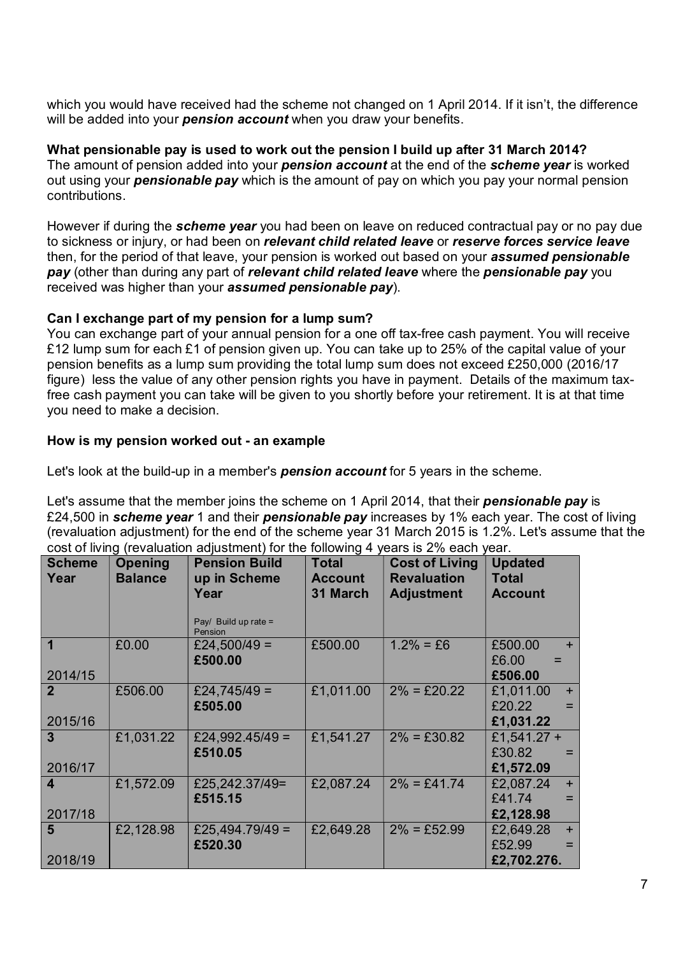which you would have received had the scheme not changed on 1 April 2014. If it isn't, the difference will be added into your **pension account** when you draw your benefits.

What pensionable pay is used to work out the pension I build up after 31 March 2014? The amount of pension added into your **pension account** at the end of the **scheme year** is worked out using your **pensionable pay** which is the amount of pay on which you pay your normal pension contributions.

However if during the scheme year you had been on leave on reduced contractual pay or no pay due to sickness or injury, or had been on relevant child related leave or reserve forces service leave then, for the period of that leave, your pension is worked out based on your **assumed pensionable** pay (other than during any part of relevant child related leave where the pensionable pay you received was higher than your **assumed pensionable pay**).

## Can I exchange part of my pension for a lump sum?

You can exchange part of your annual pension for a one off tax-free cash payment. You will receive £12 lump sum for each £1 of pension given up. You can take up to 25% of the capital value of your pension benefits as a lump sum providing the total lump sum does not exceed £250,000 (2016/17 figure) less the value of any other pension rights you have in payment. Details of the maximum taxfree cash payment you can take will be given to you shortly before your retirement. It is at that time you need to make a decision.

## How is my pension worked out - an example

Let's look at the build-up in a member's **pension account** for 5 years in the scheme.

|                           |                                  | Let's assume that the member joins the scheme on 1 April 2014, that their <b>pensionable pay</b> is<br>£24,500 in scheme year 1 and their pensionable pay increases by 1% each year. The cost of living<br>(revaluation adjustment) for the end of the scheme year 31 March 2015 is 1.2%. Let's assume that the<br>cost of living (revaluation adjustment) for the following 4 years is 2% each year. |                                            |                                                                  |                                                  |
|---------------------------|----------------------------------|-------------------------------------------------------------------------------------------------------------------------------------------------------------------------------------------------------------------------------------------------------------------------------------------------------------------------------------------------------------------------------------------------------|--------------------------------------------|------------------------------------------------------------------|--------------------------------------------------|
| <b>Scheme</b><br>Year     | <b>Opening</b><br><b>Balance</b> | <b>Pension Build</b><br>up in Scheme<br>Year<br>Pay/ Build up rate =<br>Pension                                                                                                                                                                                                                                                                                                                       | <b>Total</b><br><b>Account</b><br>31 March | <b>Cost of Living</b><br><b>Revaluation</b><br><b>Adjustment</b> | <b>Updated</b><br><b>Total</b><br><b>Account</b> |
| $\overline{1}$<br>2014/15 | £0.00                            | £24,500/49 =<br>£500.00                                                                                                                                                                                                                                                                                                                                                                               | £500.00                                    | $1.2\% = £6$                                                     | £500.00<br>£6.00<br>£506.00                      |
| $\overline{2}$<br>2015/16 | £506.00                          | £24,745/49 =<br>£505.00                                                                                                                                                                                                                                                                                                                                                                               | £1,011.00                                  | $2\% = £20.22$                                                   | £1,011.00<br>£20.22<br>£1,031.22                 |
| 3 <sup>1</sup><br>2016/17 | £1,031.22                        | £24,992.45/49 =<br>£510.05                                                                                                                                                                                                                                                                                                                                                                            | £1,541.27                                  | $2\% = £30.82$                                                   | £1,541.27 +<br>£30.82<br>£1,572.09               |
| $\overline{4}$<br>2017/18 | £1,572.09                        | £25,242.37/49=<br>£515.15                                                                                                                                                                                                                                                                                                                                                                             | £2,087.24                                  | $2\% = £41.74$                                                   | £2,087.24<br>£41.74<br>£2,128.98                 |
| 5 <sup>5</sup><br>2018/19 | £2,128.98                        | £25,494.79/49 =<br>£520.30                                                                                                                                                                                                                                                                                                                                                                            | £2,649.28                                  | $2\% = \pounds 52.99$                                            | £2,649.28<br>£52.99<br>£2,702.276.               |
|                           |                                  |                                                                                                                                                                                                                                                                                                                                                                                                       |                                            |                                                                  |                                                  |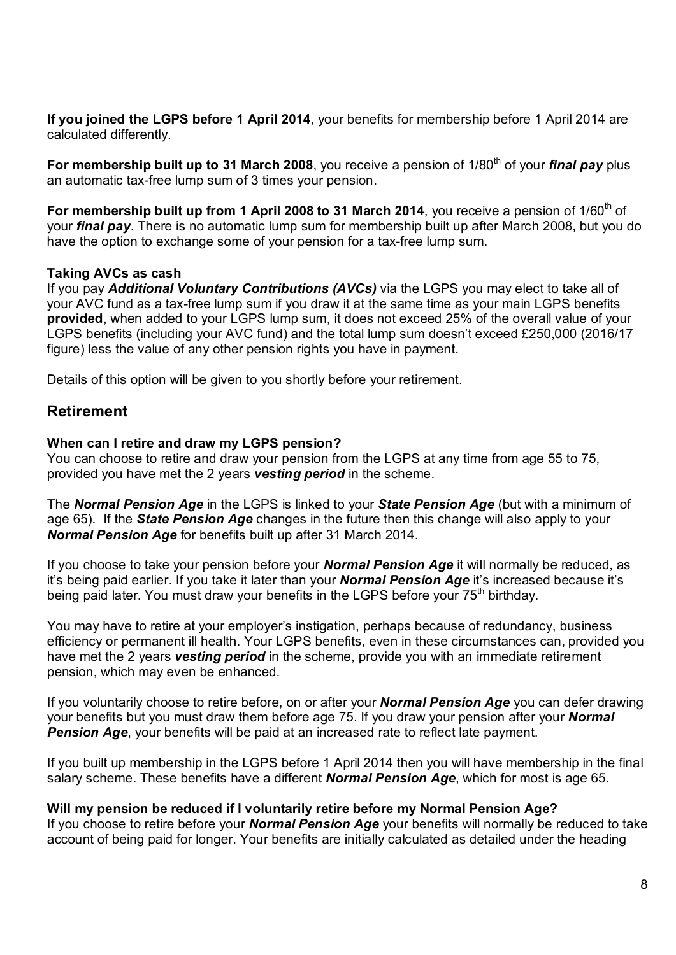If you joined the LGPS before 1 April 2014, your benefits for membership before 1 April 2014 are calculated differently.

an automatic tax-free lump sum of 3 times your pension.

**If you joined the LGPS before 1 April 2014**, your benefits for membership before 1 April 2014 are calculated differently.<br>**For membership built up to 31 March 2008**, you receive a pension of 1/80<sup>th</sup> of your *final pay* For membership built up from 1 April 2008 to 31 March 2014, you receive a pension of  $1/60<sup>th</sup>$  of your *final pay*. There is no automatic lump sum for membership built up after March 2008, but you do have the option to exchange some of your pension for a tax-free lump sum.

#### Taking AVCs as cash

If you pay Additional Voluntary Contributions (AVCs) via the LGPS you may elect to take all of your AVC fund as a tax-free lump sum if you draw it at the same time as your main LGPS benefits provided, when added to your LGPS lump sum, it does not exceed 25% of the overall value of your LGPS benefits (including your AVC fund) and the total lump sum doesn't exceed £250,000 (2016/17 figure) less the value of any other pension rights you have in payment.

Details of this option will be given to you shortly before your retirement.

# Retirement

#### When can I retire and draw my LGPS pension?

You can choose to retire and draw your pension from the LGPS at any time from age 55 to 75, provided you have met the 2 years vesting period in the scheme.

The Normal Pension Age in the LGPS is linked to your State Pension Age (but with a minimum of age 65). If the **State Pension Age** changes in the future then this change will also apply to your Normal Pension Age for benefits built up after 31 March 2014.

If you choose to take your pension before your **Normal Pension Age** it will normally be reduced, as it's being paid earlier. If you take it later than your **Normal Pension Age** it's increased because it's being paid later. You must draw your benefits in the LGPS before your 75<sup>th</sup> birthday.

You may have to retire at your employer's instigation, perhaps because of redundancy, business figure) less the value of any other pension rights you have in payment.<br>Details of this option will be given to you shortly before your retirement.<br>**Retirement**<br>When can I retire and draw my LGPS pension?<br>You can choose to have met the 2 years **vesting period** in the scheme, provide you with an immediate retirement pension, which may even be enhanced. When can I retire and draw my LGPS pension?<br>You can choose to retire and draw your pension from the LGPS at any time from age 55 to 75,<br>provided you have met the 2 years vesting period in the scheme.<br>The *Normal Pension A* 

If you voluntarily choose to retire before, on or after your **Normal Pension Age** you can defer drawing **Pension Age**, your benefits will be paid at an increased rate to reflect late payment.

If you built up membership in the LGPS before 1 April 2014 then you will have membership in the final salary scheme. These benefits have a different **Normal Pension Age**, which for most is age 65.

#### Will my pension be reduced if I voluntarily retire before my Normal Pension Age?

If you choose to retire before your **Normal Pension Age** your benefits will normally be reduced to take account of being paid for longer. Your benefits are initially calculated as detailed under the heading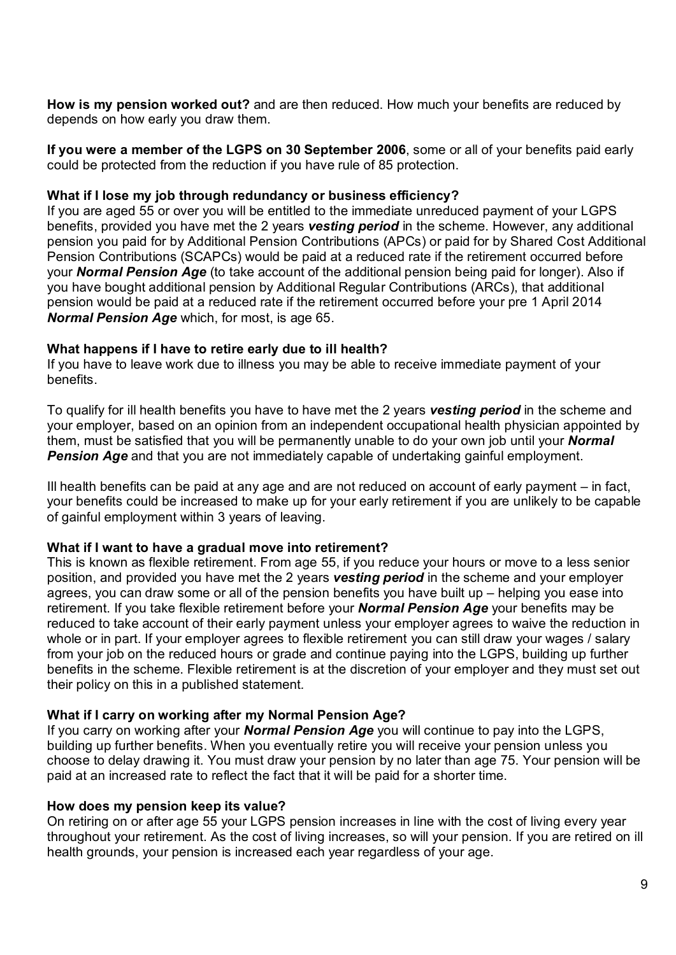How is my pension worked out? and are then reduced. How much your benefits are reduced by depends on how early you draw them.

If you were a member of the LGPS on 30 September 2006, some or all of your benefits paid early could be protected from the reduction if you have rule of 85 protection.

#### What if I lose my job through redundancy or business efficiency?

If you are aged 55 or over you will be entitled to the immediate unreduced payment of your LGPS benefits, provided you have met the 2 years **vesting period** in the scheme. However, any additional pension you paid for by Additional Pension Contributions (APCs) or paid for by Shared Cost Additional Pension Contributions (SCAPCs) would be paid at a reduced rate if the retirement occurred before your **Normal Pension Age** (to take account of the additional pension being paid for longer). Also if you have bought additional pension by Additional Regular Contributions (ARCs), that additional pension would be paid at a reduced rate if the retirement occurred before your pre 1 April 2014 Normal Pension Age which, for most, is age 65.

#### What happens if I have to retire early due to ill health?

If you have to leave work due to illness you may be able to receive immediate payment of your benefits.

To qualify for ill health benefits you have to have met the 2 years vesting period in the scheme and your employer, based on an opinion from an independent occupational health physician appointed by them, must be satisfied that you will be permanently unable to do your own job until your **Normal Pension Age** and that you are not immediately capable of undertaking gainful employment.

Ill health benefits can be paid at any age and are not reduced on account of early payment – in fact, your benefits could be increased to make up for your early retirement if you are unlikely to be capable of gainful employment within 3 years of leaving.

#### What if I want to have a gradual move into retirement?

This is known as flexible retirement. From age 55, if you reduce your hours or move to a less senior position, and provided you have met the 2 years vesting period in the scheme and your employer agrees, you can draw some or all of the pension benefits you have built up – helping you ease into retirement. If you take flexible retirement before your **Normal Pension Age** your benefits may be reduced to take account of their early payment unless your employer agrees to waive the reduction in whole or in part. If your employer agrees to flexible retirement you can still draw your wages / salary from your job on the reduced hours or grade and continue paying into the LGPS, building up further benefits in the scheme. Flexible retirement is at the discretion of your employer and they must set out their policy on this in a published statement.

#### What if I carry on working after my Normal Pension Age?

If you carry on working after your **Normal Pension Age** you will continue to pay into the LGPS, building up further benefits. When you eventually retire you will receive your pension unless you choose to delay drawing it. You must draw your pension by no later than age 75. Your pension will be paid at an increased rate to reflect the fact that it will be paid for a shorter time.

#### How does my pension keep its value?

On retiring on or after age 55 your LGPS pension increases in line with the cost of living every year throughout your retirement. As the cost of living increases, so will your pension. If you are retired on ill health grounds, your pension is increased each year regardless of your age.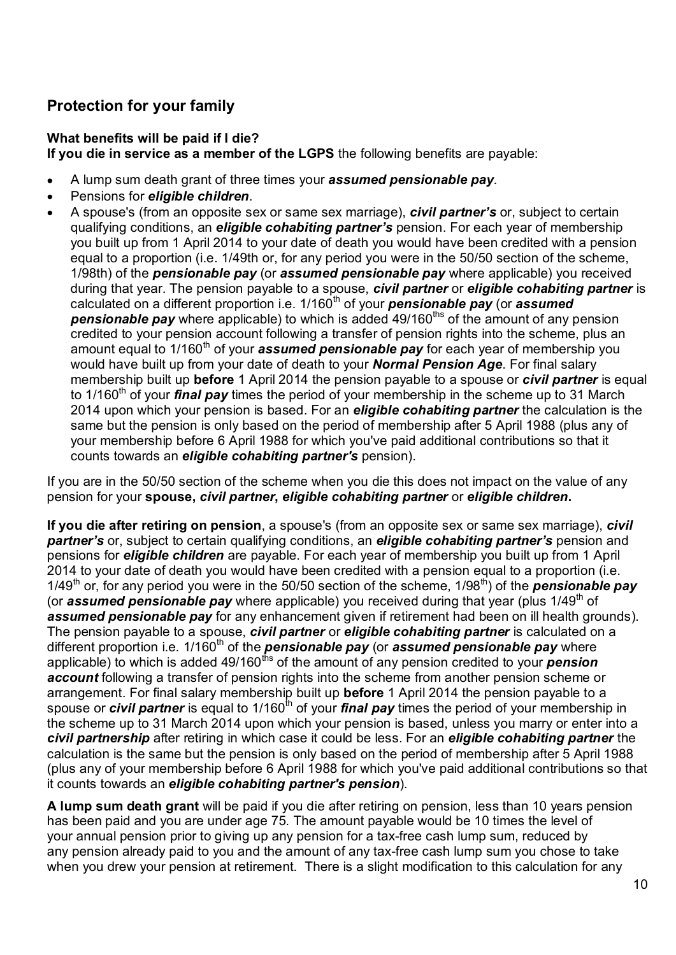# Protection for your family

# What benefits will be paid if I die?

If you die in service as a member of the LGPS the following benefits are payable:

- A lump sum death grant of three times your **assumed pensionable pay**.
- Pensions for *eligible children*.
- A spouse's (from an opposite sex or same sex marriage), *civil partner's* or, subject to certain  $\bullet$ qualifying conditions, an *eligible cohabiting partner's* pension. For each year of membership you built up from 1 April 2014 to your date of death you would have been credited with a pension equal to a proportion (i.e. 1/49th or, for any period you were in the 50/50 section of the scheme, 1/98th) of the **pensionable pay** (or **assumed pensionable pay** where applicable) you received during that year. The pension payable to a spouse, *civil partner* or *eligible cohabiting partner* is calculated on a different proportion i.e.  $1/160<sup>th</sup>$  of your **pensionable pay** (or **assumed pensionable pay** where applicable) to which is added  $49/160$ <sup>ths</sup> of the amount of any pension credited to your pension account following a transfer of pension rights into the scheme, plus an amount equal to  $1/160<sup>th</sup>$  of your **assumed pensionable pay** for each year of membership you would have built up from your date of death to your **Normal Pension Age**. For final salary membership built up **before** 1 April 2014 the pension payable to a spouse or *civil partner* is equal to 1/160<sup>th</sup> of your **final pay** times the period of your membership in the scheme up to 31 March 2014 upon which your pension is based. For an **eligible cohabiting partner** the calculation is the same but the pension is only based on the period of membership after 5 April 1988 (plus any of your membership before 6 April 1988 for which you've paid additional contributions so that it counts towards an *eligible cohabiting partner's* pension).

If you are in the 50/50 section of the scheme when you die this does not impact on the value of any pension for your spouse, civil partner, eligible cohabiting partner or eligible children.

If you die after retiring on pension, a spouse's (from an opposite sex or same sex marriage), *civil* partner's or, subject to certain qualifying conditions, an eligible cohabiting partner's pension and pensions for **eligible children** are payable. For each year of membership you built up from 1 April 2014 to your date of death you would have been credited with a pension equal to a proportion (i.e. 1/49<sup>th</sup> or, for any period you were in the 50/50 section of the scheme, 1/98<sup>th</sup>) of the **pensionable pay** (or **assumed pensionable pay** where applicable) you received during that year (plus  $1/49<sup>th</sup>$  of assumed pensionable pay for any enhancement given if retirement had been on ill health grounds). The pension payable to a spouse, *civil partner* or *eligible cohabiting partner* is calculated on a different proportion i.e.  $1/160<sup>th</sup>$  of the **pensionable pay** (or **assumed pensionable pay** where applicable) to which is added 49/160<sup>ths</sup> of the amount of any pension credited to your **pension** account following a transfer of pension rights into the scheme from another pension scheme or arrangement. For final salary membership built up **before** 1 April 2014 the pension payable to a spouse or *civil partner* is equal to  $1/160<sup>th</sup>$  of your *final pay* times the period of your membership in the scheme up to 31 March 2014 upon which your pension is based, unless you marry or enter into a civil partnership after retiring in which case it could be less. For an eligible cohabiting partner the calculation is the same but the pension is only based on the period of membership after 5 April 1988 (plus any of your membership before 6 April 1988 for which you've paid additional contributions so that it counts towards an *eligible cohabiting partner's pension*).

A lump sum death grant will be paid if you die after retiring on pension, less than 10 years pension has been paid and you are under age 75. The amount payable would be 10 times the level of your annual pension prior to giving up any pension for a tax-free cash lump sum, reduced by any pension already paid to you and the amount of any tax-free cash lump sum you chose to take when you drew your pension at retirement. There is a slight modification to this calculation for any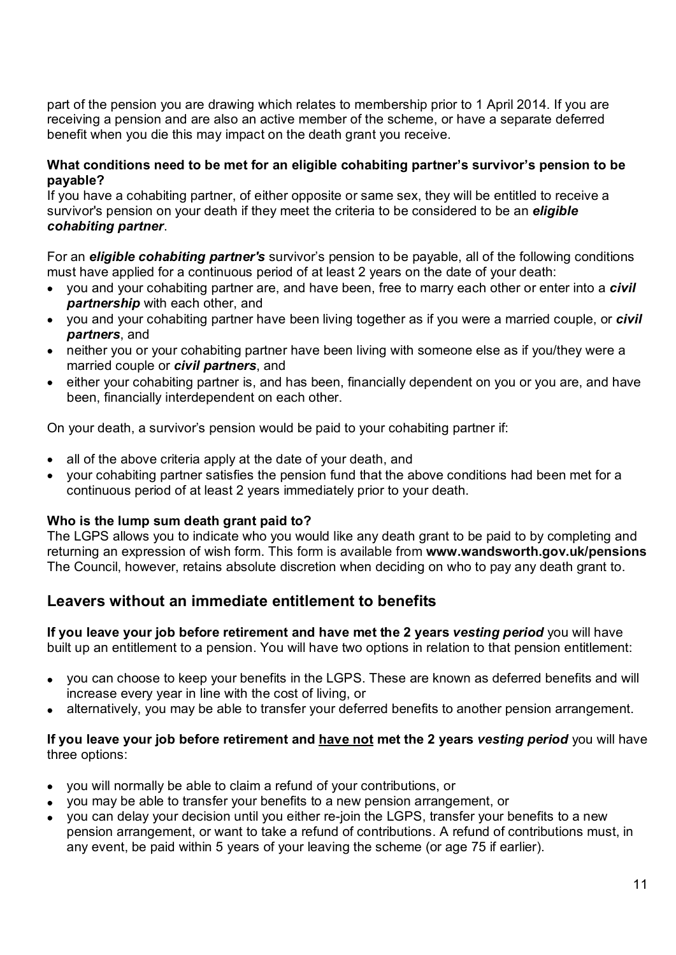part of the pension you are drawing which relates to membership prior to 1 April 2014. If you are receiving a pension and are also an active member of the scheme, or have a separate deferred benefit when you die this may impact on the death grant you receive.

#### What conditions need to be met for an eligible cohabiting partner's survivor's pension to be payable?

If you have a cohabiting partner, of either opposite or same sex, they will be entitled to receive a survivor's pension on your death if they meet the criteria to be considered to be an *eligible* 

**cohabiting partner**.<br>For an **eligible cohabiting partner's** survivor's pension to be payable, all of the following conditions must have applied for a continuous period of at least 2 years on the date of your death:

- you and your cohabiting partner are, and have been, free to marry each other or enter into a *civil* partnership with each other, and
- you and your cohabiting partner have been living together as if you were a married couple, or *civil* partners, and
- neither you or your cohabiting partner have been living with someone else as if you/they were a married couple or *civil partners*, and
- either your cohabiting partner is, and has been, financially dependent on you or you are, and have been, financially interdependent on each other.

On your death, a survivor's pension would be paid to your cohabiting partner if:

- all of the above criteria apply at the date of your death, and
- your cohabiting partner satisfies the pension fund that the above conditions had been met for a continuous period of at least 2 years immediately prior to your death.

#### Who is the lump sum death grant paid to?

The LGPS allows you to indicate who you would like any death grant to be paid to by completing and returning an expression of wish form. This form is available from www.wandsworth.gov.uk/pensions The Council, however, retains absolute discretion when deciding on who to pay any death grant to.

# Leavers without an immediate entitlement to benefits

If you leave your job before retirement and have met the 2 years vesting period you will have built up an entitlement to a pension. You will have two options in relation to that pension entitlement:

- you can choose to keep your benefits in the LGPS. These are known as deferred benefits and will increase every year in line with the cost of living, or
- alternatively, you may be able to transfer your deferred benefits to another pension arrangement.

#### If you leave your job before retirement and have not met the 2 years vesting period you will have three options:

- you will normally be able to claim a refund of your contributions, or
- you may be able to transfer your benefits to a new pension arrangement, or
- you can delay your decision until you either re-join the LGPS, transfer your benefits to a new pension arrangement, or want to take a refund of contributions. A refund of contributions must, in any event, be paid within 5 years of your leaving the scheme (or age 75 if earlier).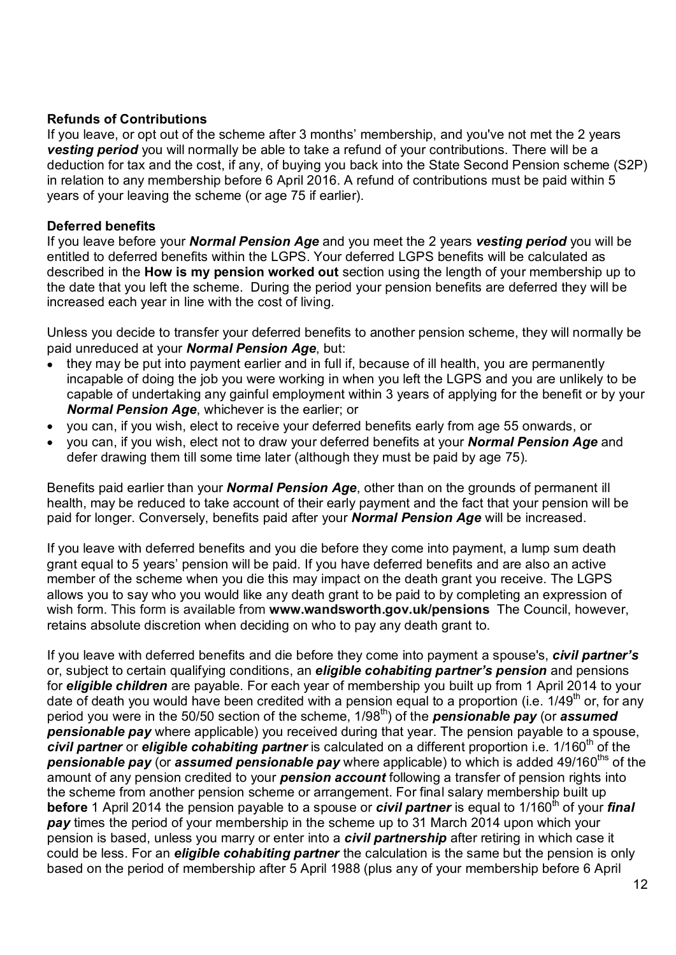#### Refunds of Contributions

If you leave, or opt out of the scheme after 3 months' membership, and you've not met the 2 years **vesting period** you will normally be able to take a refund of your contributions. There will be a deduction for tax and the cost, if any, of buying you back into the State Second Pension scheme (S2P) in relation to any membership before 6 April 2016. A refund of contributions must be paid within 5 years of your leaving the scheme (or age 75 if earlier).

#### Deferred benefits

If you leave before your **Normal Pension Age** and you meet the 2 years vesting period you will be entitled to deferred benefits within the LGPS. Your deferred LGPS benefits will be calculated as described in the **How is my pension worked out** section using the length of your membership up to the date that you left the scheme. During the period your pension benefits are deferred they will be increased each year in line with the cost of living.

Unless you decide to transfer your deferred benefits to another pension scheme, they will normally be paid unreduced at your **Normal Pension Age**, but:

- they may be put into payment earlier and in full if, because of ill health, you are permanently incapable of doing the job you were working in when you left the LGPS and you are unlikely to be capable of undertaking any gainful employment within 3 years of applying for the benefit or by your Normal Pension Age, whichever is the earlier; or
- you can, if you wish, elect to receive your deferred benefits early from age 55 onwards, or
- you can, if you wish, elect not to draw your deferred benefits at your **Normal Pension Age** and defer drawing them till some time later (although they must be paid by age 75).

Benefits paid earlier than your **Normal Pension Age**, other than on the grounds of permanent ill health, may be reduced to take account of their early payment and the fact that your pension will be paid for longer. Conversely, benefits paid after your **Normal Pension Age** will be increased.

If you leave with deferred benefits and you die before they come into payment, a lump sum death grant equal to 5 years' pension will be paid. If you have deferred benefits and are also an active member of the scheme when you die this may impact on the death grant you receive. The LGPS allows you to say who you would like any death grant to be paid to by completing an expression of wish form. This form is available from www.wandsworth.gov.uk/pensions The Council, however, retains absolute discretion when deciding on who to pay any death grant to.

If you leave with deferred benefits and die before they come into payment a spouse's, *civil partner's* or, subject to certain qualifying conditions, an **eligible cohabiting partner's pension** and pensions for eligible children are payable. For each year of membership you built up from 1 April 2014 to your date of death you would have been credited with a pension equal to a proportion (i.e.  $1/49<sup>th</sup>$  or, for any period you were in the 50/50 section of the scheme,  $1/98<sup>th</sup>$  of the **pensionable pay** (or **assumed** pensionable pay where applicable) you received during that year. The pension payable to a spouse, civil partner or eligible cohabiting partner is calculated on a different proportion i.e.  $1/160<sup>th</sup>$  of the **pensionable pay** (or **assumed pensionable pay** where applicable) to which is added 49/160<sup>ths</sup> of the amount of any pension credited to your **pension account** following a transfer of pension rights into the scheme from another pension scheme or arrangement. For final salary membership built up **before** 1 April 2014 the pension payable to a spouse or **civil partner** is equal to 1/160<sup>th</sup> of your *final* pay times the period of your membership in the scheme up to 31 March 2014 upon which your pension is based, unless you marry or enter into a *civil partnership* after retiring in which case it could be less. For an *eligible cohabiting partner* the calculation is the same but the pension is only based on the period of membership after 5 April 1988 (plus any of your membership before 6 April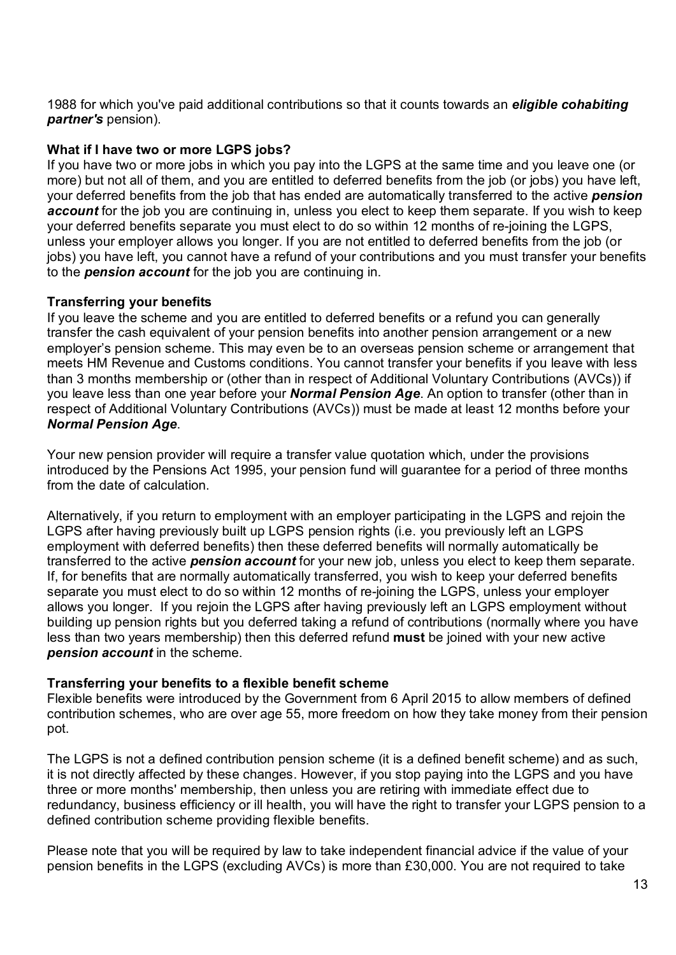1988 for which you've paid additional contributions so that it counts towards an eligible cohabiting partner's pension).

#### What if I have two or more LGPS jobs?

If you have two or more jobs in which you pay into the LGPS at the same time and you leave one (or more) but not all of them, and you are entitled to deferred benefits from the job (or jobs) you have left, your deferred benefits from the job that has ended are automatically transferred to the active **pension** account for the job you are continuing in, unless you elect to keep them separate. If you wish to keep your deferred benefits separate you must elect to do so within 12 months of re-joining the LGPS, unless your employer allows you longer. If you are not entitled to deferred benefits from the job (or jobs) you have left, you cannot have a refund of your contributions and you must transfer your benefits to the **pension account** for the job you are continuing in. 1988 for which you've paid additional contributions so that it counts towards an eligible cohabiting<br>
What if 1 have two or more LGPS jobs?<br>
If you have two or more LGPS jobs?<br>
If you have two or more jobs in which you pay

#### Transferring your benefits

transfer the cash equivalent of your pension benefits into another pension arrangement or a new employer's pension scheme. This may even be to an overseas pension scheme or arrangement that meets HM Revenue and Customs conditions. You cannot transfer your benefits if you leave with less than 3 months membership or (other than in respect of Additional Voluntary Contributions (AVCs)) if you leave less than one year before your **Normal Pension Age**. An option to transfer (other than in respect of Additional Voluntary Contributions (AVCs)) must be made at least 12 months before your Normal Pension Age.<br>Your new pension provider will require a transfer value quotation which, under the provisions

introduced by the Pensions Act 1995, your pension fund will guarantee for a period of three months from the date of calculation.

Alternatively, if you return to employment with an employer participating in the LGPS and rejoin the LGPS after having previously built up LGPS pension rights (i.e. you previously left an LGPS employment with deferred benefits) then these deferred benefits will normally automatically be transferred to the active *pension account* for your new job, unless you elect to keep them separate. If, for benefits that are normally automatically transferred, you wish to keep your deferred benefits separate you must elect to do so within 12 months of re-joining the LGPS, unless your employer allows you longer. If you rejoin the LGPS after having previously left an LGPS employment without building up pension rights but you deferred taking a refund of contributions (normally where you have less than two years membership) then this deferred refund must be joined with your new active pension account in the scheme.

# Transferring your benefits to a flexible benefit scheme

Flexible benefits were introduced by the Government from 6 April 2015 to allow members of defined contribution schemes, who are over age 55, more freedom on how they take money from their pension pot.

The LGPS is not a defined contribution pension scheme (it is a defined benefit scheme) and as such, it is not directly affected by these changes. However, if you stop paying into the LGPS and you have three or more months' membership, then unless you are retiring with immediate effect due to redundancy, business efficiency or ill health, you will have the right to transfer your LGPS pension to a defined contribution scheme providing flexible benefits.

Please note that you will be required by law to take independent financial advice if the value of your pension benefits in the LGPS (excluding AVCs) is more than £30,000. You are not required to take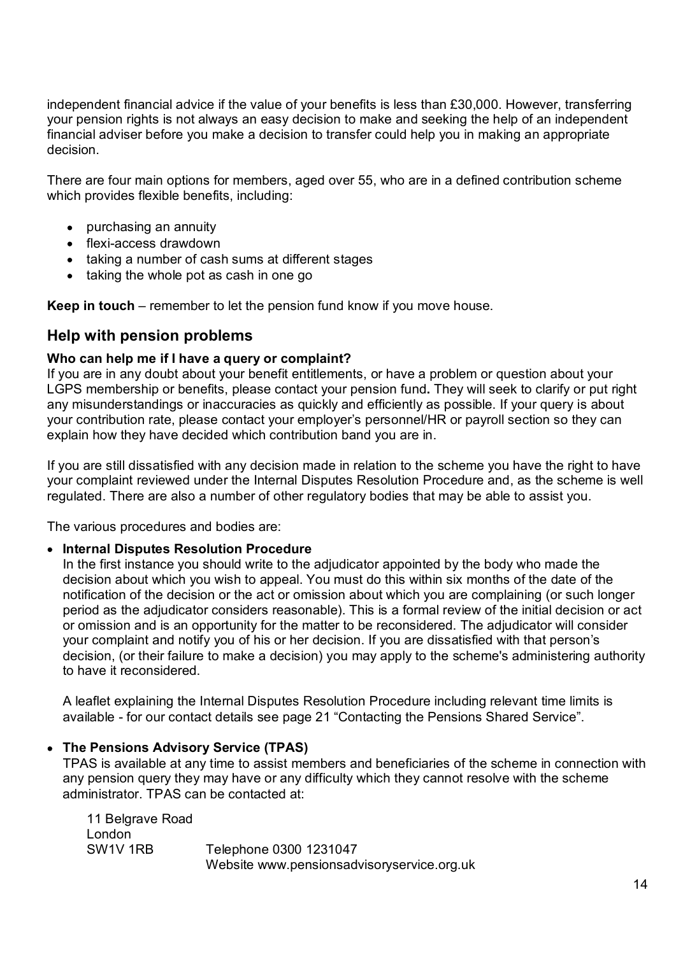independent financial advice if the value of your benefits is less than £30,000. However, transferring your pension rights is not always an easy decision to make and seeking the help of an independent financial adviser before you make a decision to transfer could help you in making an appropriate decision.

There are four main options for members, aged over 55, who are in a defined contribution scheme which provides flexible benefits, including:

- purchasing an annuity
- flexi-access drawdown
- taking a number of cash sums at different stages
- taking the whole pot as cash in one go

Keep in touch – remember to let the pension fund know if you move house.

# Help with pension problems

## Who can help me if I have a query or complaint?

If you are in any doubt about your benefit entitlements, or have a problem or question about your LGPS membership or benefits, please contact your pension fund. They will seek to clarify or put right any misunderstandings or inaccuracies as quickly and efficiently as possible. If your query is about your contribution rate, please contact your employer's personnel/HR or payroll section so they can explain how they have decided which contribution band you are in.

If you are still dissatisfied with any decision made in relation to the scheme you have the right to have your complaint reviewed under the Internal Disputes Resolution Procedure and, as the scheme is well regulated. There are also a number of other regulatory bodies that may be able to assist you.

The various procedures and bodies are:

#### • Internal Disputes Resolution Procedure

In the first instance you should write to the adjudicator appointed by the body who made the decision about which you wish to appeal. You must do this within six months of the date of the notification of the decision or the act or omission about which you are complaining (or such longer period as the adjudicator considers reasonable). This is a formal review of the initial decision or act or omission and is an opportunity for the matter to be reconsidered. The adjudicator will consider your complaint and notify you of his or her decision. If you are dissatisfied with that person's decision, (or their failure to make a decision) you may apply to the scheme's administering authority to have it reconsidered.

A leaflet explaining the Internal Disputes Resolution Procedure including relevant time limits is available - for our contact details see page 21 "Contacting the Pensions Shared Service".

#### • The Pensions Advisory Service (TPAS)

TPAS is available at any time to assist members and beneficiaries of the scheme in connection with any pension query they may have or any difficulty which they cannot resolve with the scheme administrator. TPAS can be contacted at:

 11 Belgrave Road London SW1V 1RB Telephone 0300 1231047 Website www.pensionsadvisoryservice.org.uk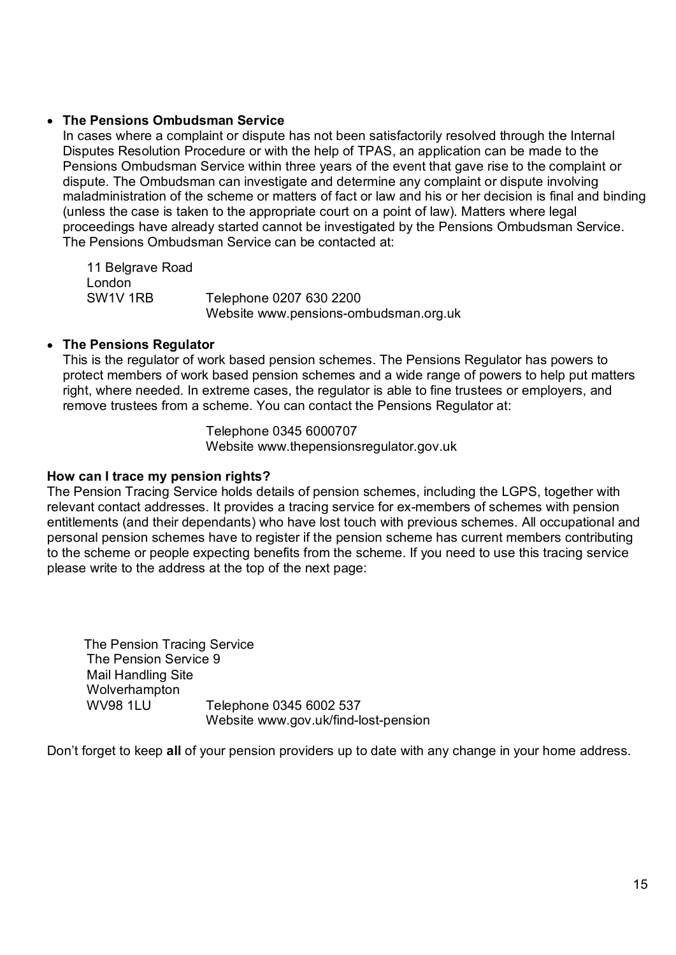#### The Pensions Ombudsman Service

In cases where a complaint or dispute has not been satisfactorily resolved through the Internal Disputes Resolution Procedure or with the help of TPAS, an application can be made to the Pensions Ombudsman Service within three years of the event that gave rise to the complaint or dispute. The Ombudsman can investigate and determine any complaint or dispute involving maladministration of the scheme or matters of fact or law and his or her decision is final and binding (unless the case is taken to the appropriate court on a point of law). Matters where legal proceedings have already started cannot be investigated by the Pensions Ombudsman Service. The Pensions Ombudsman Service can be contacted at:

 11 Belgrave Road London SW1V 1RB Telephone 0207 630 2200 Website www.pensions-ombudsman.org.uk

## The Pensions Regulator

This is the regulator of work based pension schemes. The Pensions Regulator has powers to protect members of work based pension schemes and a wide range of powers to help put matters right, where needed. In extreme cases, the regulator is able to fine trustees or employers, and remove trustees from a scheme. You can contact the Pensions Regulator at:

> Telephone 0345 6000707 Website www.thepensionsregulator.gov.uk

#### How can I trace my pension rights?

The Pension Tracing Service holds details of pension schemes, including the LGPS, together with relevant contact addresses. It provides a tracing service for ex-members of schemes with pension entitlements (and their dependants) who have lost touch with previous schemes. All occupational and personal pension schemes have to register if the pension scheme has current members contributing to the scheme or people expecting benefits from the scheme. If you need to use this tracing service please write to the address at the top of the next page:

 The Pension Tracing Service The Pension Service 9 Mail Handling Site **Wolverhampton**  WV98 1LU Telephone 0345 6002 537 Website www.gov.uk/find-lost-pension

Don't forget to keep all of your pension providers up to date with any change in your home address.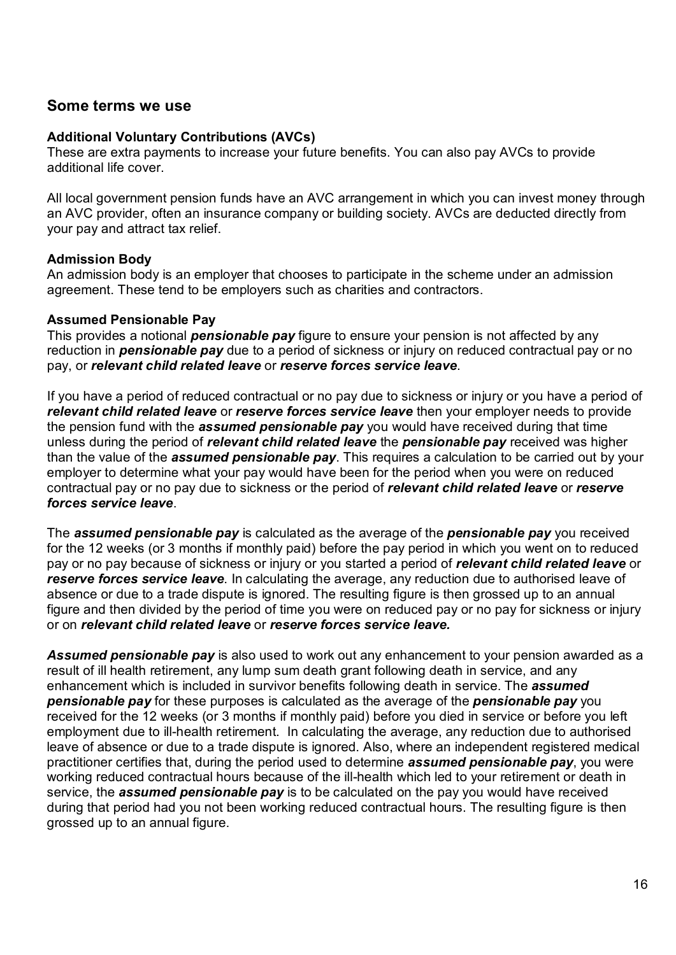# Some terms we use

#### Additional Voluntary Contributions (AVCs)

These are extra payments to increase your future benefits. You can also pay AVCs to provide additional life cover.

All local government pension funds have an AVC arrangement in which you can invest money through an AVC provider, often an insurance company or building society. AVCs are deducted directly from your pay and attract tax relief.

#### Admission Body

An admission body is an employer that chooses to participate in the scheme under an admission agreement. These tend to be employers such as charities and contractors.

#### Assumed Pensionable Pay

This provides a notional **pensionable pay** figure to ensure your pension is not affected by any reduction in **pensionable pay** due to a period of sickness or injury on reduced contractual pay or no pay, or relevant child related leave or reserve forces service leave.

If you have a period of reduced contractual or no pay due to sickness or injury or you have a period of relevant child related leave or reserve forces service leave then your employer needs to provide the pension fund with the **assumed pensionable pay** you would have received during that time unless during the period of *relevant child related leave* the *pensionable pay* received was higher than the value of the **assumed pensionable pay**. This requires a calculation to be carried out by your employer to determine what your pay would have been for the period when you were on reduced contractual pay or no pay due to sickness or the period of relevant child related leave or reserve forces service leave.<br>The assumed pensionable pay is calculated as the average of the pensionable pay you received

for the 12 weeks (or 3 months if monthly paid) before the pay period in which you went on to reduced pay or no pay because of sickness or injury or you started a period of relevant child related leave or reserve forces service leave. In calculating the average, any reduction due to authorised leave of absence or due to a trade dispute is ignored. The resulting figure is then grossed up to an annual figure and then divided by the period of time you were on reduced pay or no pay for sickness or injury or on relevant child related leave or reserve forces service leave.

**Assumed pensionable pay** is also used to work out any enhancement to your pension awarded as a result of ill health retirement, any lump sum death grant following death in service, and any enhancement which is included in survivor benefits following death in service. The assumed **pensionable pay** for these purposes is calculated as the average of the **pensionable pay** you received for the 12 weeks (or 3 months if monthly paid) before you died in service or before you left employment due to ill-health retirement. In calculating the average, any reduction due to authorised leave of absence or due to a trade dispute is ignored. Also, where an independent registered medical practitioner certifies that, during the period used to determine **assumed pensionable pay**, you were working reduced contractual hours because of the ill-health which led to your retirement or death in service, the **assumed pensionable pay** is to be calculated on the pay you would have received during that period had you not been working reduced contractual hours. The resulting figure is then grossed up to an annual figure.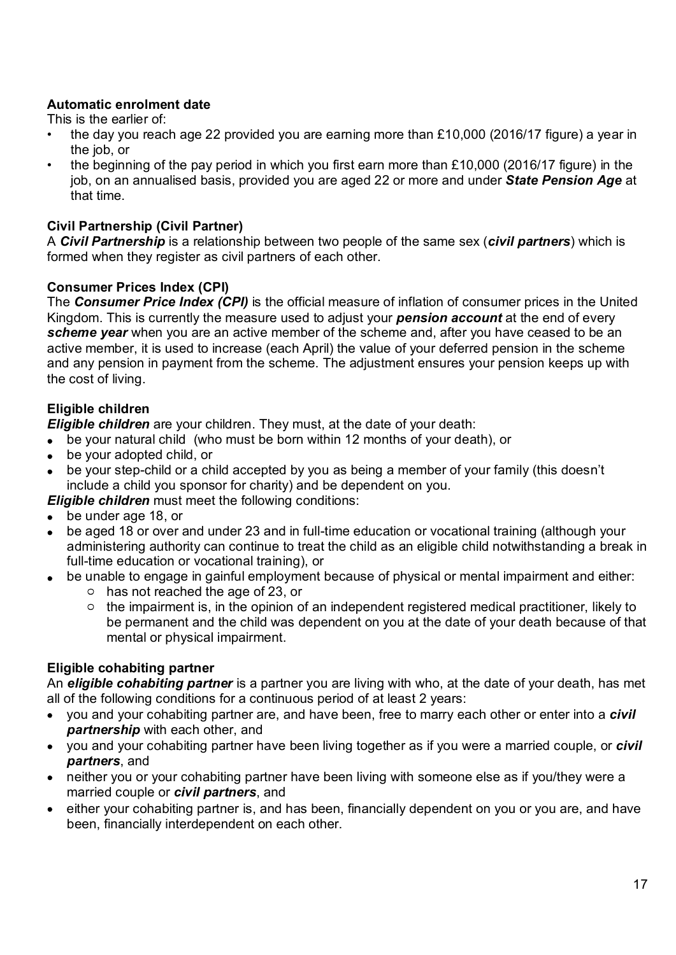# Automatic enrolment date

This is the earlier of:

- the day you reach age 22 provided you are earning more than £10,000 (2016/17 figure) a year in the job, or
- the beginning of the pay period in which you first earn more than £10,000 (2016/17 figure) in the job, on an annualised basis, provided you are aged 22 or more and under State Pension Age at that time.

# Civil Partnership (Civil Partner)

A Civil Partnership is a relationship between two people of the same sex (civil partners) which is formed when they register as civil partners of each other.

# Consumer Prices Index (CPI)

**Automatic enrolment date**<br>
This is the earlier of:<br>
"the day you reach age 22 provided you are earning more than £10,000 (2016/17 figure) a year in<br>
the job, or<br>
the beginning of the pay period in which you first earn mo Kingdom. This is currently the measure used to adjust your **pension account** at the end of every scheme year when you are an active member of the scheme and, after you have ceased to be an active member, it is used to increase (each April) the value of your deferred pension in the scheme and any pension in payment from the scheme. The adjustment ensures your pension keeps up with the cost of living.

# Eligible children

**Eligible children** are your children. They must, at the date of your death:

- be your natural child (who must be born within 12 months of your death), or
- be your adopted child, or
- be your step-child or a child accepted by you as being a member of your family (this doesn't include a child you sponsor for charity) and be dependent on you.

**Eligible children** must meet the following conditions:

- be under age 18, or
- be aged 18 or over and under 23 and in full-time education or vocational training (although your administering authority can continue to treat the child as an eligible child notwithstanding a break in full-time education or vocational training), or
- be unable to engage in gainful employment because of physical or mental impairment and either:
	- has not reached the age of 23, or
	- $\circ$  the impairment is, in the opinion of an independent registered medical practitioner, likely to be permanent and the child was dependent on you at the date of your death because of that mental or physical impairment.

# Eligible cohabiting partner

An **eligible cohabiting partner** is a partner you are living with who, at the date of your death, has met all of the following conditions for a continuous period of at least 2 years:

- you and your cohabiting partner are, and have been, free to marry each other or enter into a *civil* **partnership** with each other, and
- you and your cohabiting partner have been living together as if you were a married couple, or *civil* partners, and
- neither you or your cohabiting partner have been living with someone else as if you/they were a married couple or *civil partners*, and
- either your cohabiting partner is, and has been, financially dependent on you or you are, and have been, financially interdependent on each other.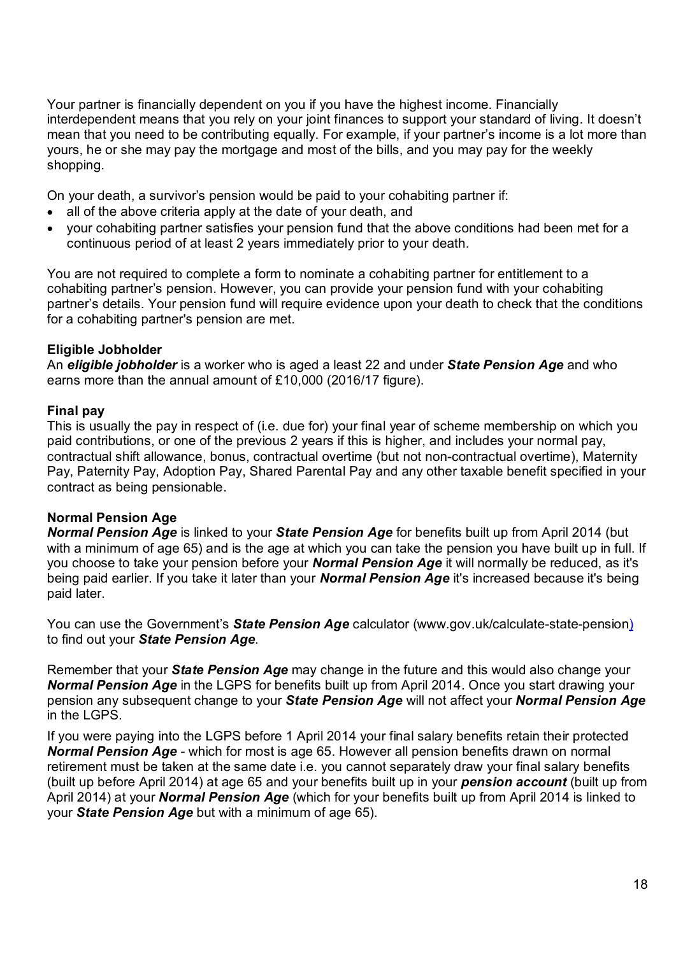Your partner is financially dependent on you if you have the highest income. Financially interdependent means that you rely on your joint finances to support your standard of living. It doesn't mean that you need to be contributing equally. For example, if your partner's income is a lot more than yours, he or she may pay the mortgage and most of the bills, and you may pay for the weekly shopping.

On your death, a survivor's pension would be paid to your cohabiting partner if:

- all of the above criteria apply at the date of your death, and
- your cohabiting partner satisfies your pension fund that the above conditions had been met for a continuous period of at least 2 years immediately prior to your death.

You are not required to complete a form to nominate a cohabiting partner for entitlement to a cohabiting partner's pension. However, you can provide your pension fund with your cohabiting partner's details. Your pension fund will require evidence upon your death to check that the conditions for a cohabiting partner's pension are met.

## Eligible Jobholder

An eligible jobholder is a worker who is aged a least 22 and under State Pension Age and who earns more than the annual amount of £10,000 (2016/17 figure).

#### Final pay

This is usually the pay in respect of (i.e. due for) your final year of scheme membership on which you paid contributions, or one of the previous 2 years if this is higher, and includes your normal pay, contractual shift allowance, bonus, contractual overtime (but not non-contractual overtime), Maternity Pay, Paternity Pay, Adoption Pay, Shared Parental Pay and any other taxable benefit specified in your contract as being pensionable.

# Normal Pension Age

Normal Pension Age is linked to your State Pension Age for benefits built up from April 2014 (but with a minimum of age 65) and is the age at which you can take the pension you have built up in full. If you choose to take your pension before your **Normal Pension Age** it will normally be reduced, as it's being paid earlier. If you take it later than your **Normal Pension Age** it's increased because it's being paid later.

You can use the Government's **State Pension Age** calculator (www.gov.uk/calculate-state-pension) to find out your *State Pension Age*.<br>Remember that your *State Pension Age* may change in the future and this would also change your

Normal Pension Age in the LGPS for benefits built up from April 2014. Once you start drawing your pension any subsequent change to your State Pension Age will not affect your Normal Pension Age in the LGPS.

If you were paying into the LGPS before 1 April 2014 your final salary benefits retain their protected Normal Pension Age - which for most is age 65. However all pension benefits drawn on normal retirement must be taken at the same date i.e. you cannot separately draw your final salary benefits (built up before April 2014) at age 65 and your benefits built up in your **pension account** (built up from April 2014) at your **Normal Pension Age** (which for your benefits built up from April 2014 is linked to your State Pension Age but with a minimum of age 65).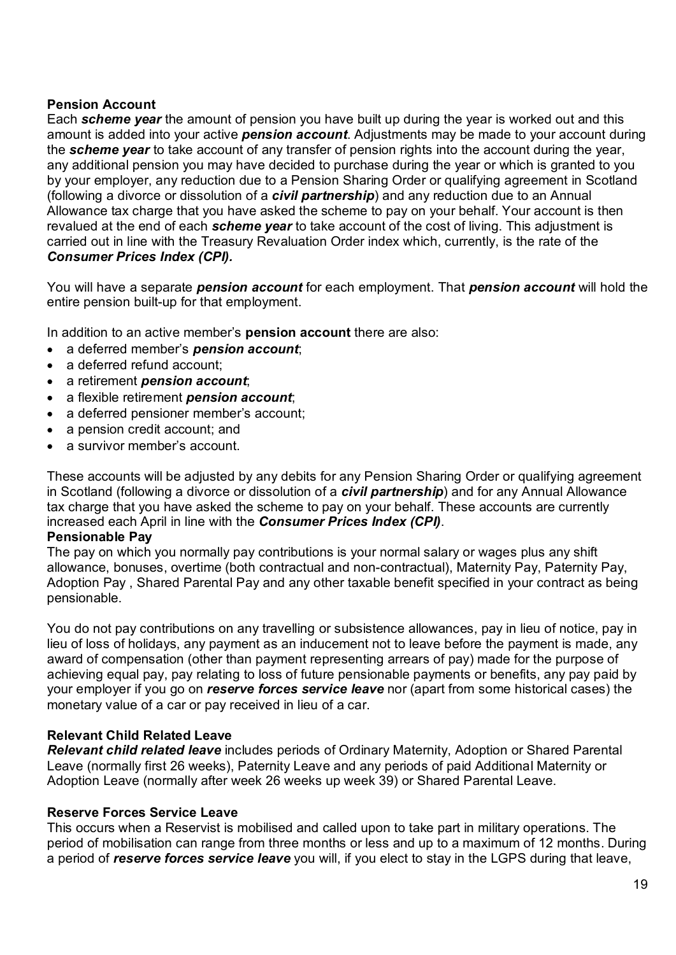#### Pension Account

Each scheme year the amount of pension you have built up during the year is worked out and this amount is added into your active **pension account**. Adjustments may be made to your account during the scheme year to take account of any transfer of pension rights into the account during the year, any additional pension you may have decided to purchase during the year or which is granted to you by your employer, any reduction due to a Pension Sharing Order or qualifying agreement in Scotland (following a divorce or dissolution of a *civil partnership*) and any reduction due to an Annual Allowance tax charge that you have asked the scheme to pay on your behalf. Your account is then revalued at the end of each scheme year to take account of the cost of living. This adjustment is carried out in line with the Treasury Revaluation Order index which, currently, is the rate of the Consumer Prices Index (CPI).

You will have a separate **pension account** for each employment. That **pension account** will hold the entire pension built-up for that employment.

In addition to an active member's **pension account** there are also:

- a deferred member's **pension account;**
- a deferred refund account:
- a retirement **pension account**;
- a flexible retirement **pension account**;
- a deferred pensioner member's account;
- a pension credit account; and
- a survivor member's account.

These accounts will be adjusted by any debits for any Pension Sharing Order or qualifying agreement in Scotland (following a divorce or dissolution of a *civil partnership*) and for any Annual Allowance tax charge that you have asked the scheme to pay on your behalf. These accounts are currently increased each April in line with the Consumer Prices Index (CPI).

#### Pensionable Pay

The pay on which you normally pay contributions is your normal salary or wages plus any shift allowance, bonuses, overtime (both contractual and non-contractual), Maternity Pay, Paternity Pay, Adoption Pay , Shared Parental Pay and any other taxable benefit specified in your contract as being pensionable.

You do not pay contributions on any travelling or subsistence allowances, pay in lieu of notice, pay in lieu of loss of holidays, any payment as an inducement not to leave before the payment is made, any award of compensation (other than payment representing arrears of pay) made for the purpose of achieving equal pay, pay relating to loss of future pensionable payments or benefits, any pay paid by your employer if you go on reserve forces service leave nor (apart from some historical cases) the monetary value of a car or pay received in lieu of a car.

#### Relevant Child Related Leave

Relevant child related leave includes periods of Ordinary Maternity, Adoption or Shared Parental Leave (normally first 26 weeks), Paternity Leave and any periods of paid Additional Maternity or Adoption Leave (normally after week 26 weeks up week 39) or Shared Parental Leave.

#### Reserve Forces Service Leave

This occurs when a Reservist is mobilised and called upon to take part in military operations. The period of mobilisation can range from three months or less and up to a maximum of 12 months. During a period of reserve forces service leave you will, if you elect to stay in the LGPS during that leave,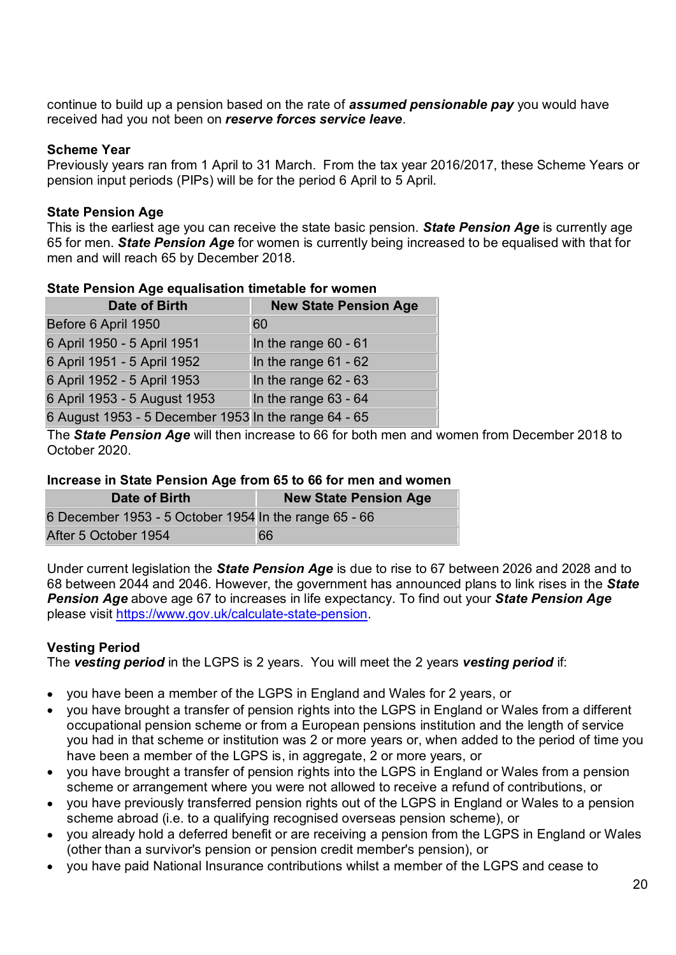continue to build up a pension based on the rate of **assumed pensionable pay** you would have received had you not been on reserve forces service leave.

#### Scheme Year

Previously years ran from 1 April to 31 March. From the tax year 2016/2017, these Scheme Years or pension input periods (PIPs) will be for the period 6 April to 5 April.

## State Pension Age

This is the earliest age you can receive the state basic pension. State Pension Age is currently age 65 for men. State Pension Age for women is currently being increased to be equalised with that for men and will reach 65 by December 2018.

| <b>Prato I Diloidii Ago oquunoution timotupio ioi fronton</b> |                              |  |  |  |  |  |
|---------------------------------------------------------------|------------------------------|--|--|--|--|--|
| <b>Date of Birth</b>                                          | <b>New State Pension Age</b> |  |  |  |  |  |
| Before 6 April 1950                                           | <b>60</b>                    |  |  |  |  |  |
| 6 April 1950 - 5 April 1951                                   | In the range 60 - 61         |  |  |  |  |  |
| 6 April 1951 - 5 April 1952                                   | In the range $61 - 62$       |  |  |  |  |  |
| 6 April 1952 - 5 April 1953                                   | In the range $62 - 63$       |  |  |  |  |  |
| 6 April 1953 - 5 August 1953                                  | In the range $63 - 64$       |  |  |  |  |  |
| 6 August 1953 - 5 December 1953 In the range 64 - 65          |                              |  |  |  |  |  |

#### State Pension Age equalisation timetable for women

The State Pension Age will then increase to 66 for both men and women from December 2018 to October 2020.

#### Increase in State Pension Age from 65 to 66 for men and women

| Date of Birth                                         | <b>New State Pension Age</b> |
|-------------------------------------------------------|------------------------------|
| 6 December 1953 - 5 October 1954 In the range 65 - 66 |                              |
| After 5 October 1954                                  | 66                           |

Under current legislation the **State Pension Age** is due to rise to 67 between 2026 and 2028 and to 68 between 2044 and 2046. However, the government has announced plans to link rises in the State **Pension Age** above age 67 to increases in life expectancy. To find out your **State Pension Age** please visit https://www.gov.uk/calculate-state-pension.

# Vesting Period

The vesting period in the LGPS is 2 years. You will meet the 2 years vesting period if:

- you have been a member of the LGPS in England and Wales for 2 years, or
- you have brought a transfer of pension rights into the LGPS in England or Wales from a different occupational pension scheme or from a European pensions institution and the length of service you had in that scheme or institution was 2 or more years or, when added to the period of time you have been a member of the LGPS is, in aggregate, 2 or more years, or
- you have brought a transfer of pension rights into the LGPS in England or Wales from a pension scheme or arrangement where you were not allowed to receive a refund of contributions, or
- you have previously transferred pension rights out of the LGPS in England or Wales to a pension scheme abroad (i.e. to a qualifying recognised overseas pension scheme), or
- you already hold a deferred benefit or are receiving a pension from the LGPS in England or Wales (other than a survivor's pension or pension credit member's pension), or
- you have paid National Insurance contributions whilst a member of the LGPS and cease to